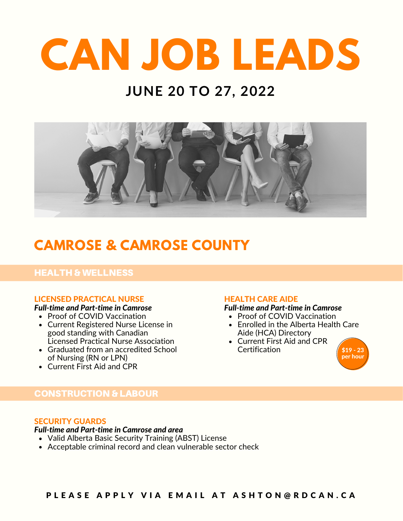## **JUNE 20 TO 27, 2022**



## **CAMROSE & CAMROSE COUNTY**

#### HEALTH & WELLNESS

#### LICENSED PRACTICAL NURSE

#### *Full-time and Part-time in Camrose*

- Proof of COVID Vaccination
- Current Registered Nurse License in good standing with Canadian Licensed Practical Nurse Association
- Graduated from an accredited School of Nursing (RN or LPN)
- Current First Aid and CPR

#### HEALTH CARE AIDE

#### *Full-time and Part-time in Camrose*

- Proof of COVID Vaccination
- Enrolled in the Alberta Health Care Aide (HCA) Directory
- Current First Aid and CPR **Certification**



#### CONSTRUCTION & LABOUR

#### SECURITY GUARDS

#### *Full-time and Part-time in Camrose and area*

- Valid Alberta Basic Security Training (ABST) License
- Acceptable criminal record and clean vulnerable sector check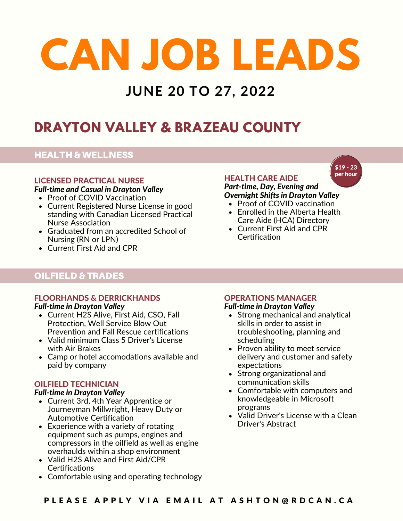### **JUNE 20 TO 27, 2022**

## **DRAYTON VALLEY & BRAZEAU COUNTY**

#### HEALTH & WELLNESS

#### LICENSED PRACTICAL NURSE

*Full-time and Casual in Drayton Valley*

- Proof of COVID Vaccination
- Current Registered Nurse License in good standing with Canadian Licensed Practical Nurse Association
- Graduated from an accredited School of Nursing (RN or LPN)
- Current First Aid and CPR

## OILFIELD & TRADES

#### FLOORHANDS & DERRICKHANDS *Full-time in Drayton Valley*

- Current H2S Alive, First Aid, CSO, Fall Protection, Well Service Blow Out Prevention and Fall Rescue certifications
- Valid minimum Class 5 Driver's License with Air Brakes
- Camp or hotel accomodations available and paid by company

#### OILFIELD TECHNICIAN

#### *Full-time in Drayton Valley*

- Current 3rd, 4th Year Apprentice or Journeyman Millwright, Heavy Duty or Automotive Certification
- Experience with a variety of rotating equipment such as pumps, engines and compressors in the oilfield as well as engine overhaulds within a shop environment
- Valid H2S Alive and First Aid/CPR **Certifications**
- Comfortable using and operating technology

#### HEALTH CARE AIDE

#### *Part-time, Day, Evening and Overnight Shifts in Drayton Valley*

- Proof of COVID vaccination
- Enrolled in the Alberta Health Care Aide (HCA) Directory
- Current First Aid and CPR **Certification**

#### OPERATIONS MANAGER *Full-time in Drayton Valley*

- Strong mechanical and analytical skills in order to assist in troubleshooting, planning and scheduling
- Proven ability to meet service delivery and customer and safety expectations
- Strong organizational and communication skills
- Comfortable with computers and knowledgeable in Microsoft programs
- Valid Driver's License with a Clean Driver's Abstract

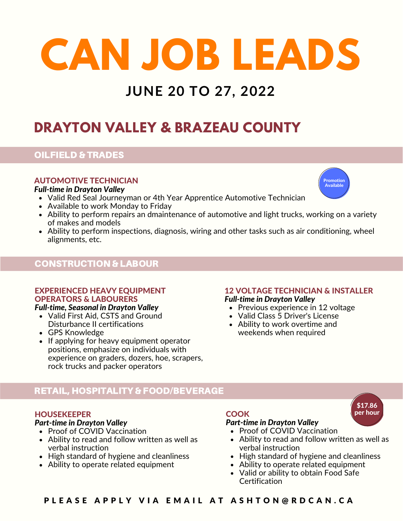## **JUNE 20 TO 27, 2022**

## **DRAYTON VALLEY & BRAZEAU COUNTY**

#### OILFIELD & TRADES

#### AUTOMOTIVE TECHNICIAN

#### *Full-time in Drayton Valley*

- Valid Red Seal Journeyman or 4th Year Apprentice Automotive Technician
- Available to work Monday to Friday
- Ability to perform repairs an dmaintenance of automotive and light trucks, working on a variety of makes and models
- Ability to perform inspections, diagnosis, wiring and other tasks such as air conditioning, wheel alignments, etc.

#### CONSTRUCTION & LABOUR

#### EXPERIENCED HEAVY EQUIPMENT OPERATORS & LABOURERS

- Valid First Aid, CSTS and Ground Disturbance II certifications
- GPS Knowledge
- If applying for heavy equipment operator positions, emphasize on individuals with experience on graders, dozers, hoe, scrapers, rock trucks and packer operators

#### 12 VOLTAGE TECHNICIAN & INSTALLER *Full-time in Drayton Valley*

- **Full-time, Seasonal in Drayton Valley Previous** Previous experience in 12 voltage
	- Valid Class 5 Driver's License
	- Ability to work overtime and weekends when required

### RETAIL, HOSPITALITY & FOOD/BEVERAGE

#### **HOUSEKEEPER**

- *Part-time in Drayton Valley*
- Proof of COVID Vaccination
- Ability to read and follow written as well as verbal instruction
- High standard of hygiene and cleanliness
- Ability to operate related equipment

#### **COOK**

#### *Part-time in Drayton Valley*

- Proof of COVID Vaccination
- Ability to read and follow written as well as verbal instruction
- High standard of hygiene and cleanliness
- Ability to operate related equipment
- Valid or ability to obtain Food Safe **Certification**



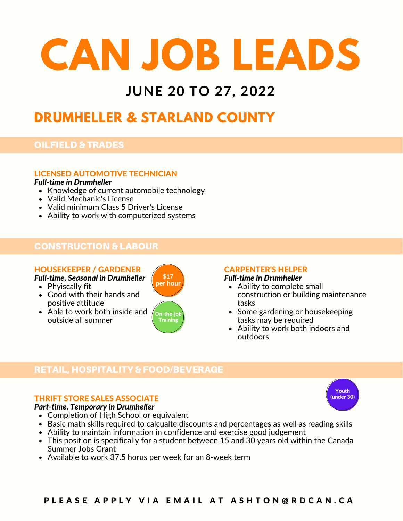### **JUNE 20 TO 27, 2022**

### **DRUMHELLER & STARLAND COUNTY**

#### OILFIELD & TRADES

#### LICENSED AUTOMOTIVE TECHNICIAN

#### *Full-time in Drumheller*

- Knowledge of current automobile technology
- Valid Mechanic's License
- Valid minimum Class 5 Driver's License
- Ability to work with computerized systems

#### CONSTRUCTION & LABOUR

#### HOUSEKEEPER / GARDENER

*Full-time, Seasonal in Drumheller*  $\int_{\text{per hour}}^{\text{17}}$ 

- Phyiscally fit
- Good with their hands and positive attitude
- Able to work both inside and outside all summer



#### CARPENTER'S HELPER *Full-time in Drumheller*

#### $\bullet$  Ability to complete small construction or building maintenance

- tasks • Some gardening or housekeeping
- tasks may be required • Ability to work both indoors and outdoors

#### RETAIL, HOSPITALITY & FOOD/BEVERAGE

#### THRIFT STORE SALES ASSOCIATE



- Completion of High School or equivalent
- Basic math skills required to calcualte discounts and percentages as well as reading skills
- Ability to maintain information in confidence and exercise good judgement
- This position is specifically for a student between 15 and 30 years old within the Canada Summer Jobs Grant
- Available to work 37.5 horus per week for an 8-week term

#### PLEASE APPLY VIA EMAIL AT ASHTON@RDCAN.CA

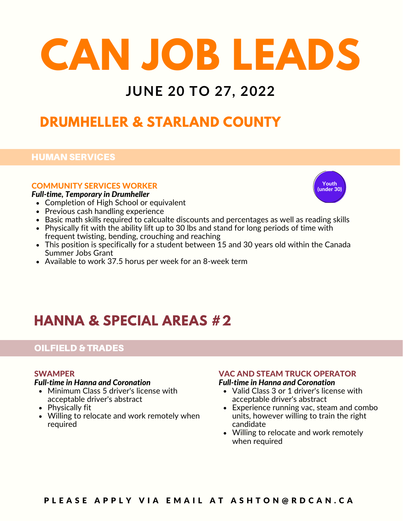### **JUNE 20 TO 27, 2022**

### **DRUMHELLER & STARLAND COUNTY**

#### HUMAN SERVICES

#### COMMUNITY SERVICES WORKER

#### *Full-time, Temporary in Drumheller*

- Completion of High School or equivalent
- Previous cash handling experience
- Basic math skills required to calcualte discounts and percentages as well as reading skills
- Physically fit with the ability lift up to 30 lbs and stand for long periods of time with frequent twisting, bending, crouching and reaching
- $\bullet$  This position is specifically for a student between 15 and 30 years old within the Canada Summer Jobs Grant
- Available to work 37.5 horus per week for an 8-week term

## **HANNA & SPECIAL AREAS #2**

#### OILFIELD & TRADES

#### SWAMPER

#### *Full-time in Hanna and Coronation*

- Minimum Class 5 driver's license with acceptable driver's abstract
- Physically fit
- Willing to relocate and work remotely when required

#### VAC AND STEAM TRUCK OPERATOR *Full-time in Hanna and Coronation*

- Valid Class 3 or 1 driver's license with acceptable driver's abstract
- Experience running vac, steam and combo units, however willing to train the right candidate
- Willing to relocate and work remotely when required



#### PLEASE APPLY VIA EMAIL AT ASHTON@RDCAN.CA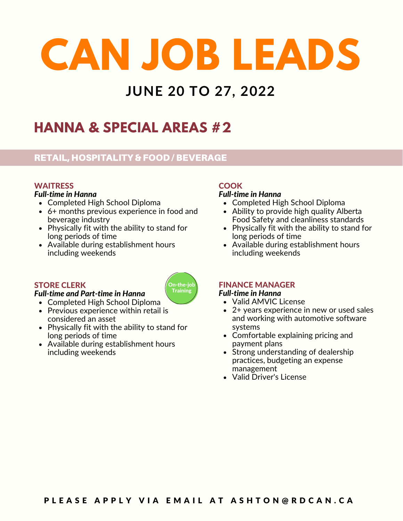## **JUNE 20 TO 27, 2022**

On-the-job Training

## **HANNA & SPECIAL AREAS #2**

#### RETAIL, HOSPITALITY & FOOD / BEVERAGE

#### **WAITRESS**

#### *Full-time in Hanna*

- Completed High School Diploma
- 6+ months previous experience in food and beverage industry
- Physically fit with the ability to stand for long periods of time
- Available during establishment hours including weekends

#### STORE CLERK

#### *Full-time and Part-time in Hanna*

- Completed High School Diploma
- Previous experience within retail is considered an asset
- Physically fit with the ability to stand for long periods of time
- Available during establishment hours including weekends

#### **COOK**

#### *Full-time in Hanna*

- Completed High School Diploma
- Ability to provide high quality Alberta Food Safety and cleanliness standards
- Physically fit with the ability to stand for long periods of time
- Available during establishment hours including weekends

#### FINANCE MANAGER *Full-time in Hanna*

- Valid AMVIC License
- 2+ years experience in new or used sales and working with automotive software systems
- Comfortable explaining pricing and payment plans
- Strong understanding of dealership practices, budgeting an expense management
- Valid Driver's License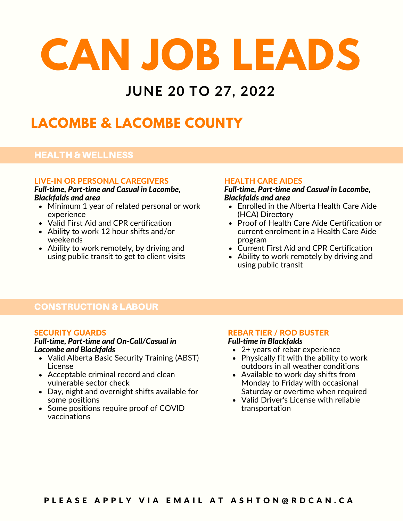### **JUNE 20 TO 27, 2022**

## **LACOMBE & LACOMBE COUNTY**

#### HEALTH & WELLNESS

#### LIVE-IN OR PERSONAL CAREGIVERS

*Full-time, Part-time and Casual in Lacombe, Blackfalds and area*

- Minimum 1 year of related personal or work experience
- Valid First Aid and CPR certification
- Ability to work 12 hour shifts and/or weekends
- Ability to work remotely, by driving and using public transit to get to client visits

#### HEALTH CARE AIDES

*Full-time, Part-time and Casual in Lacombe, Blackfalds and area*

- Enrolled in the Alberta Health Care Aide (HCA) Directory
- Proof of Health Care Aide Certification or current enrolment in a Health Care Aide program
- Current First Aid and CPR Certification
- Ability to work remotely by driving and using public transit

#### CONSTRUCTION & LABOUR

#### SECURITY GUARDS

### *Full-time, Part-time and On-Call/Casual in*

- Valid Alberta Basic Security Training (ABST) License
- Acceptable criminal record and clean vulnerable sector check
- Day, night and overnight shifts available for some positions
- Some positions require proof of COVID vaccinations

#### REBAR TIER / ROD BUSTER

#### *Full-time in Blackfalds*

- 2+ years of rebar experience
- Physically fit with the ability to work outdoors in all weather conditions
- Available to work day shifts from Monday to Friday with occasional Saturday or overtime when required
- Valid Driver's License with reliable transportation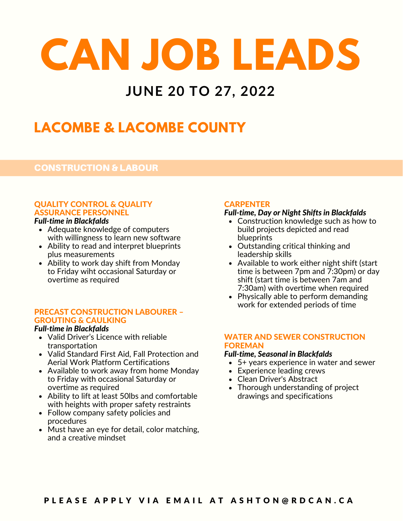## **JUNE 20 TO 27, 2022**

## **LACOMBE & LACOMBE COUNTY**

#### CONSTRUCTION & LABOUR

#### QUALITY CONTROL & QUALITY ASSURANCE PERSONNEL

#### *Full-time in Blackfalds*

- Adequate knowledge of computers with willingness to learn new software
- Ability to read and interpret blueprints plus measurements
- Ability to work day shift from Monday to Friday wiht occasional Saturday or overtime as required

#### PRECAST CONSTRUCTION LABOURER – GROUTING & CAULKING

#### *Full-time in Blackfalds*

- Valid Driver's Licence with reliable transportation
- Valid Standard First Aid, Fall Protection and Aerial Work Platform Certifications
- Available to work away from home Monday to Friday with occasional Saturday or overtime as required
- Ability to lift at least 50lbs and comfortable with heights with proper safety restraints
- Follow company safety policies and procedures
- Must have an eye for detail, color matching, and a creative mindset

#### **CARPENTER**

#### *Full-time, Day or Night Shifts in Blackfalds*

- Construction knowledge such as how to build projects depicted and read blueprints
- Outstanding critical thinking and leadership skills
- Available to work either night shift (start time is between 7pm and 7:30pm) or day shift (start time is between 7am and 7:30am) with overtime when required
- Physically able to perform demanding work for extended periods of time

#### WATER AND SEWER CONSTRUCTION FOREMAN

#### *Full-time, Seasonal in Blackfalds*

- 5+ years experience in water and sewer
- Experience leading crews
- Clean Driver's Abstract
- Thorough understanding of project drawings and specifications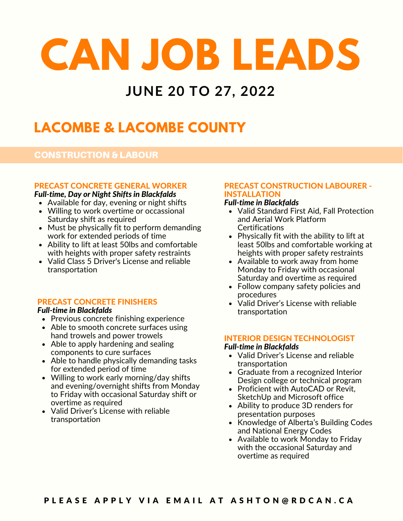### **JUNE 20 TO 27, 2022**

## **LACOMBE & LACOMBE COUNTY**

#### CONSTRUCTION & LABOUR

#### PRECAST CONCRETE GENERAL WORKER

#### *Full-time, Day or Night Shifts in Blackfalds*

- Available for day, evening or night shifts
- Willing to work overtime or occassional Saturday shift as required
- Must be physically fit to perform demanding work for extended periods of time
- Ability to lift at least 50lbs and comfortable with heights with proper safety restraints
- Valid Class 5 Driver's License and reliable transportation

#### PRECAST CONCRETE FINISHERS

#### *Full-time in Blackfalds*

- Previous concrete finishing experience
- Able to smooth concrete surfaces using hand trowels and power trowels
- Able to apply hardening and sealing components to cure surfaces
- Able to handle physically demanding tasks for extended period of time
- Willing to work early morning/day shifts and evening/overnight shifts from Monday to Friday with occasional Saturday shift or overtime as required
- Valid Driver's License with reliable transportation

#### PRECAST CONSTRUCTION LABOURER - INSTALLATION

#### *Full-time in Blackfalds*

- Valid Standard First Aid, Fall Protection and Aerial Work Platform **Certifications**
- Physically fit with the ability to lift at least 50lbs and comfortable working at heights with proper safety restraints
- Available to work away from home Monday to Friday with occasional Saturday and overtime as required
- Follow company safety policies and procedures
- Valid Driver's License with reliable transportation

#### INTERIOR DESIGN TECHNOLOGIST

#### *Full-time in Blackfalds*

- Valid Driver's License and reliable transportation
- Graduate from a recognized Interior Design college or technical program
- Proficient with AutoCAD or Revit, SketchUp and Microsoft office
- Ability to produce 3D renders for presentation purposes
- Knowledge of Alberta's Building Codes and National Energy Codes
- Available to work Monday to Friday with the occasional Saturday and overtime as required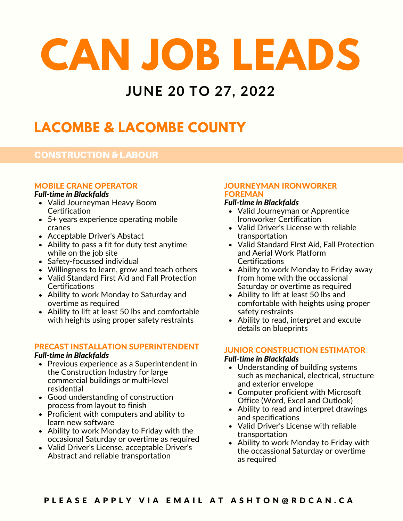## **JUNE 20 TO 27, 2022**

## **LACOMBE & LACOMBE COUNTY**

#### CONSTRUCTION & LABOUR

#### MOBILE CRANE OPERATOR

#### *Full-time in Blackfalds*

- Valid Journeyman Heavy Boom **Certification**
- 5+ years experience operating mobile cranes
- Acceptable Driver's Abstact
- Ability to pass a fit for duty test anytime while on the job site
- Safety-focussed individual
- Willingness to learn, grow and teach others
- Valid Standard First Aid and Fall Protection **Certifications**
- Ability to work Monday to Saturday and overtime as required
- Ability to lift at least 50 lbs and comfortable with heights using proper safety restraints

#### PRECAST INSTALLATION SUPERINTENDENT

#### *Full-time in Blackfalds*

- Previous experience as a Superintendent in the Construction Industry for large commercial buildings or multi-level residential
- Good understanding of construction process from layout to finish
- Proficient with computers and ability to learn new software
- Ability to work Monday to Friday with the occasional Saturday or overtime as required
- Valid Driver's License, acceptable Driver's Abstract and reliable transportation

#### JOURNEYMAN IRONWORKER FOREMAN

#### *Full-time in Blackfalds*

- Valid Journeyman or Apprentice Ironworker Certification
- Valid Driver's License with reliable transportation
- Valid Standard FIrst Aid, Fall Protection and Aerial Work Platform Certifications
- Ability to work Monday to Friday away from home with the occassional Saturday or overtime as required
- Ability to lift at least 50 lbs and comfortable with heights using proper safety restraints
- Ability to read, interpret and excute details on blueprints

#### JUNIOR CONSTRUCTION ESTIMATOR

#### *Full-time in Blackfalds*

- Understanding of building systems such as mechanical, electrical, structure and exterior envelope
- Computer proficient with Microsoft Office (Word, Excel and Outlook)
- Ability to read and interpret drawings and specifications
- Valid Driver's License with reliable transportation
- Ability to work Monday to Friday with the occassional Saturday or overtime as required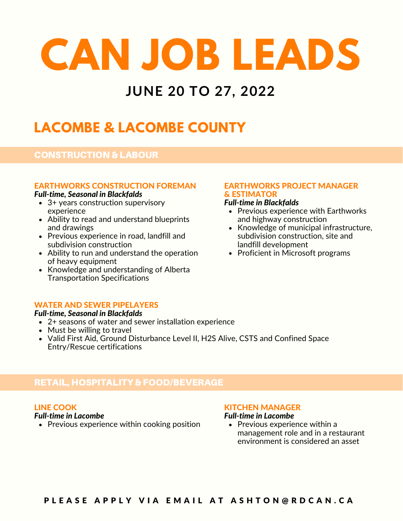## **JUNE 20 TO 27, 2022**

## **LACOMBE & LACOMBE COUNTY**

#### CONSTRUCTION & LABOUR

#### EARTHWORKS CONSTRUCTION FOREMAN

#### *Full-time, Seasonal in Blackfalds*

- 3+ years construction supervisory experience
- Ability to read and understand blueprints and drawings
- Previous experience in road, landfill and subdivision construction
- Ability to run and understand the operation of heavy equipment
- Knowledge and understanding of Alberta Transportation Specifications

#### EARTHWORKS PROJECT MANAGER & ESTIMATOR

#### *Full-time in Blackfalds*

- Previous experience with Earthworks and highway construction
- Knowledge of municipal infrastructure, subdivision construction, site and landfill development
- Proficient in Microsoft programs

#### WATER AND SEWER PIPELAYERS

#### *Full-time, Seasonal in Blackfalds*

- 2+ seasons of water and sewer installation experience
- Must be willing to travel
- Valid First Aid, Ground Disturbance Level II, H2S Alive, CSTS and Confined Space Entry/Rescue certifications

#### RETAIL, HOSPITALITY & FOOD/BEVERAGE

#### LINE COOK

#### *Full-time in Lacombe*

• Previous experience within cooking position

#### KITCHEN MANAGER

#### *Full-time in Lacombe*

• Previous experience within a management role and in a restaurant environment is considered an asset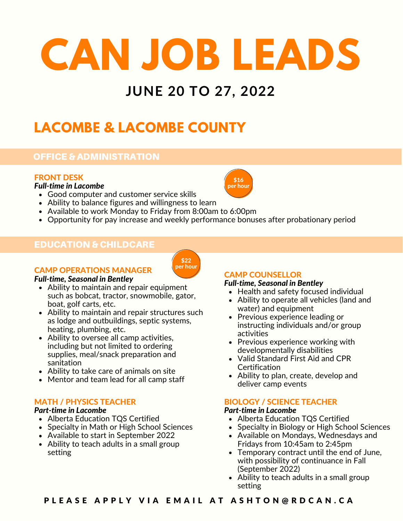## **JUNE 20 TO 27, 2022**

## **LACOMBE & LACOMBE COUNTY**

#### OFFICE & ADMINISTRATION

#### FRONT DESK

#### *Full-time in Lacombe*

- Good computer and customer service skills
- Ability to balance figures and willingness to learn
- Available to work Monday to Friday from 8:00am to 6:00pm
- Opportunity for pay increase and weekly performance bonuses after probationary period

\$22 per hour

#### EDUCATION & CHILDCARE



#### *Full-time, Seasonal in Bentley*

- Ability to maintain and repair equipment such as bobcat, tractor, snowmobile, gator, boat, golf carts, etc.
- Ability to maintain and repair structures such as lodge and outbuildings, septic systems, heating, plumbing, etc.
- Ability to oversee all camp activities, including but not limited to ordering supplies, meal/snack preparation and sanitation
- Ability to take care of animals on site
- Mentor and team lead for all camp staff

#### MATH / PHYSICS TEACHER

#### *Part-time in Lacombe*

- Alberta Education TQS Certified
- Specialty in Math or High School Sciences
- Available to start in September 2022
- Ability to teach adults in a small group setting

#### CAMP COUNSELLOR

#### *Full-time, Seasonal in Bentley*

- Health and safety focused individual
- Ability to operate all vehicles (land and water) and equipment
- Previous experience leading or instructing individuals and/or group activities
- Previous experience working with developmentally disabilities
- Valid Standard First Aid and CPR **Certification**
- Ability to plan, create, develop and deliver camp events

#### BIOLOGY / SCIENCE TEACHER

#### *Part-time in Lacombe*

- Alberta Education TQS Certified
- Specialty in Biology or High School Sciences
- Available on Mondays, Wednesdays and Fridays from 10:45am to 2:45pm
- Temporary contract until the end of June, with possibility of continuance in Fall (September 2022)
- Ability to teach adults in a small group setting

PLEASE APPLY VIA EMAIL AT ASHTON@RDCAN.CA

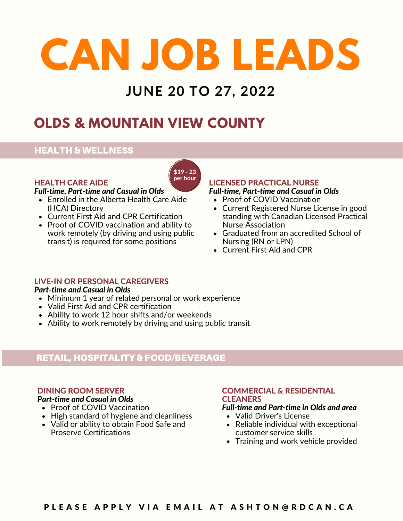## **JUNE 20 TO 27, 2022**

## **OLDS & MOUNTAIN VIEW COUNTY**

#### HEALTH & WELLNESS

#### HEALTH CARE AIDE

#### *Full-time, Part-time and Casual in Olds*

- Enrolled in the Alberta Health Care Aide (HCA) Directory
- Current First Aid and CPR Certification
- Proof of COVID vaccination and ability to work remotely (by driving and using public transit) is required for some positions

#### LICENSED PRACTICAL NURSE *Full-time, Part-time and Casual in Olds*

- Proof of COVID Vaccination
- Current Registered Nurse License in good standing with Canadian Licensed Practical Nurse Association
- Graduated from an accredited School of Nursing (RN or LPN)
- Current First Aid and CPR

#### LIVE-IN OR PERSONAL CAREGIVERS

#### *Part-time and Casual in Olds*

- Minimum 1 year of related personal or work experience
- Valid First Aid and CPR certification
- Ability to work 12 hour shifts and/or weekends
- Ability to work remotely by driving and using public transit

#### RETAIL, HOSPITALITY & FOOD/BEVERAGE

#### DINING ROOM SERVER

#### *Part-time and Casual in Olds*

- 
- High standard of hygiene and cleanliness
- Valid or ability to obtain Food Safe and Proserve Certifications

#### COMMERCIAL & RESIDENTIAL **CLEANERS**

#### Proof of COVID Vaccination *Full-time and Part-time in Olds and area*

- Valid Driver's License
- Reliable individual with exceptional customer service skills
- Training and work vehicle provided

#### PLEASE APPLY VIA EMAIL AT ASHTON@RDCAN.CA

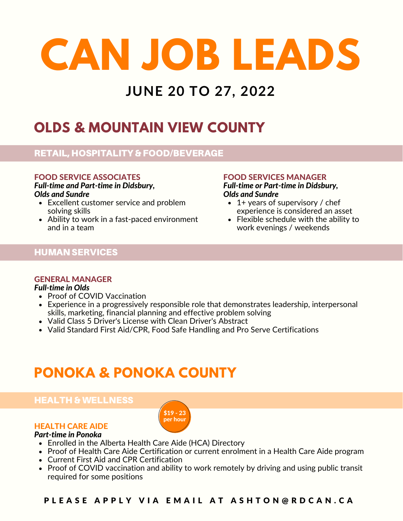## **JUNE 20 TO 27, 2022**

## **OLDS & MOUNTAIN VIEW COUNTY**

#### RETAIL, HOSPITALITY & FOOD/BEVERAGE

#### FOOD SERVICE ASSOCIATES

*Full-time and Part-time in Didsbury, Olds and Sundre*

- Excellent customer service and problem solving skills
- Ability to work in a fast-paced environment and in a team

#### FOOD SERVICES MANAGER

*Full-time or Part-time in Didsbury, Olds and Sundre*

- $\cdot$  1+ years of supervisory / chef experience is considered an asset
- Flexible schedule with the ability to work evenings / weekends

#### HUMAN SERVICES

#### GENERAL MANAGER

#### *Full-time in Olds*

- Proof of COVID Vaccination
- Experience in a progressively responsible role that demonstrates leadership, interpersonal skills, marketing, financial planning and effective problem solving
- Valid Class 5 Driver's License with Clean Driver's Abstract
- Valid Standard First Aid/CPR, Food Safe Handling and Pro Serve Certifications

\$19 - 23 per hour

## **PONOKA & PONOKA COUNTY**

#### HEALTH & WELLNESS

#### HEALTH CARE AIDE

#### *Part-time in Ponoka*

- Enrolled in the Alberta Health Care Aide (HCA) Directory
- Proof of Health Care Aide Certification or current enrolment in a Health Care Aide program
- Current First Aid and CPR Certification
- Proof of COVID vaccination and ability to work remotely by driving and using public transit required for some positions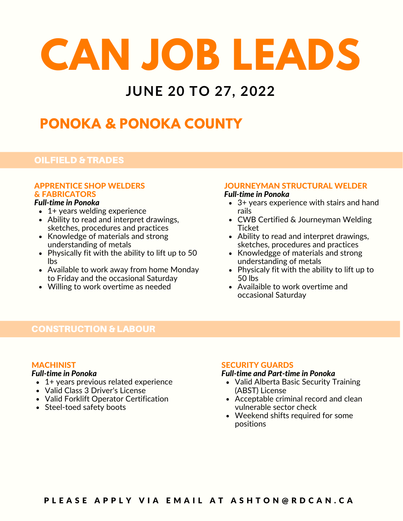## **JUNE 20 TO 27, 2022**

## **PONOKA & PONOKA COUNTY**

#### OILFIELD & TRADES

### APPRENTICE SHOP WELDERS & FABRICATORS<br>Full-time in Ponoka

- 1+ years welding experience
- Ability to read and interpret drawings, sketches, procedures and practices
- $\bullet$  Knowledge of materials and strong understanding of metals
- Physically fit with the ability to lift up to 50 lbs
- Available to work away from home Monday to Friday and the occasional Saturday
- Willing to work overtime as needed

#### JOURNEYMAN STRUCTURAL WELDER

#### *Full-time in Ponoka*

- 3+ years experience with stairs and hand rails
- CWB Certified & Journeyman Welding **Ticket**
- Ability to read and interpret drawings, sketches, procedures and practices
- Knowledgge of materials and strong understanding of metals
- Physicaly fit with the ability to lift up to 50 lbs
- Availaible to work overtime and occasional Saturday

#### CONSTRUCTION & LABOUR

#### **MACHINIST**

#### *Full-time in Ponoka*

- 1+ years previous related experience
- Valid Class 3 Driver's License
- Valid Forklift Operator Certification
- Steel-toed safety boots

#### SECURITY GUARDS

#### *Full-time and Part-time in Ponoka*

- Valid Alberta Basic Security Training (ABST) License
- Acceptable criminal record and clean vulnerable sector check
- Weekend shifts required for some positions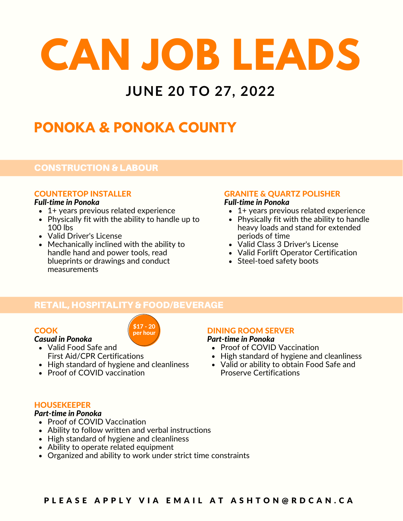## **JUNE 20 TO 27, 2022**

## **PONOKA & PONOKA COUNTY**

#### CONSTRUCTION & LABOUR

#### COUNTERTOP INSTALLER

#### *Full-time in Ponoka*

- 1+ years previous related experience
- Physically fit with the ability to handle up to  $100$  lbs
- Valid Driver's License
- Mechanically inclined with the ability to handle hand and power tools, read blueprints or drawings and conduct measurements

#### GRANITE & QUARTZ POLISHER

#### *Full-time in Ponoka*

- 1+ years previous related experience
- Physically fit with the ability to handle heavy loads and stand for extended periods of time
- Valid Class 3 Driver's License
- Valid Forlift Operator Certification
- Steel-toed safety boots

#### RETAIL, HOSPITALITY & FOOD/BEVERAGE

\$17 - 20  $\rho$ er hour

#### **COOK**

#### *Casual in Ponoka*

- Valid Food Safe and First Aid/CPR Certifications
- High standard of hygiene and cleanliness
- Proof of COVID vaccination

#### DINING ROOM SERVER

#### *Part-time in Ponoka*

- Proof of COVID Vaccination
- High standard of hygiene and cleanliness
- Valid or ability to obtain Food Safe and Proserve Certifications

#### *Part-time in Ponoka*

- Proof of COVID Vaccination
- Ability to follow written and verbal instructions
- High standard of hygiene and cleanliness
- Ability to operate related equipment
- Organized and ability to work under strict time constraints

#### **HOUSEKEEPER**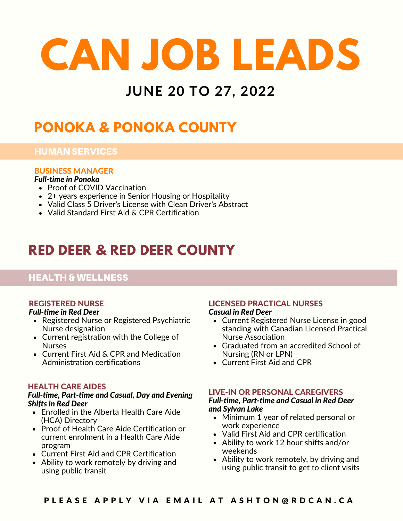## **JUNE 20 TO 27, 2022**

## **PONOKA & PONOKA COUNTY**

#### HUMAN SERVICES

#### BUSINESS MANAGER

#### *Full-time in Ponoka*

- Proof of COVID Vaccination
- 2+ years experience in Senior Housing or Hospitality
- Valid Class 5 Driver's License with Clean Driver's Abstract
- Valid Standard First Aid & CPR Certification

## **RED DEER & RED DEER COUNTY**

#### HEALTH & WELLNESS

#### REGISTERED NURSE

#### *Full-time in Red Deer*

- Registered Nurse or Registered Psychiatric Nurse designation
- Current registration with the College of **Nurses**
- Current First Aid & CPR and Medication Administration certifications

#### HEALTH CARE AIDES

#### *Full-time, Part-time and Casual, Day and Evening Shifts in Red Deer*

- Enrolled in the Alberta Health Care Aide (HCA) Directory
- Proof of Health Care Aide Certification or current enrolment in a Health Care Aide program
- Current First Aid and CPR Certification
- Ability to work remotely by driving and using public transit

### LICENSED PRACTICAL NURSES

#### *Casual in Red Deer*

- Current Registered Nurse License in good standing with Canadian Licensed Practical Nurse Association
- Graduated from an accredited School of Nursing (RN or LPN)
- Current First Aid and CPR

#### LIVE-IN OR PERSONAL CAREGIVERS

#### *Full-time, Part-time and Casual in Red Deer and Sylvan Lake*

- Minimum 1 year of related personal or work experience
- Valid First Aid and CPR certification
- Ability to work 12 hour shifts and/or weekends
- Ability to work remotely, by driving and using public transit to get to client visits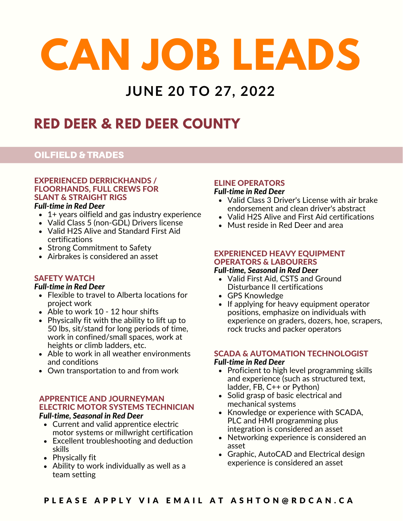### **JUNE 20 TO 27, 2022**

## **RED DEER & RED DEER COUNTY**

#### OILFIELD & TRADES

#### EXPERIENCED DERRICKHANDS / FLOORHANDS, FULL CREWS FOR SLANT & STRAIGHT RIGS

#### *Full-time in Red Deer*

- 1+ years oilfield and gas industry experience
- Valid Class 5 (non-GDL) Drivers license
- Valid H2S Alive and Standard First Aid certifications
- Strong Commitment to Safety
- Airbrakes is considered an asset

#### SAFETY WATCH

#### *Full-time in Red Deer*

- Flexible to travel to Alberta locations for project work
- Able to work 10 12 hour shifts
- Physically fit with the ability to lift up to 50 lbs, sit/stand for long periods of time, work in confined/small spaces, work at heights or climb ladders, etc.
- Able to work in all weather environments and conditions
- Own transportation to and from work

#### APPRENTICE AND JOURNEYMAN ELECTRIC MOTOR SYSTEMS TECHNICIAN *Full-time, Seasonal in Red Deer*

- Current and valid apprentice electric motor systems or millwright certification
- Excellent troubleshooting and deduction skills
- Physically fit
- Ability to work individually as well as a team setting

#### ELINE OPERATORS

#### *Full-time in Red Deer*

- Valid Class 3 Driver's License with air brake endorsement and clean driver's abstract
- Valid H2S Alive and First Aid certifications
- Must reside in Red Deer and area

#### EXPERIENCED HEAVY EQUIPMENT OPERATORS & LABOURERS

#### *Full-time, Seasonal in Red Deer*

- Valid First Aid, CSTS and Ground Disturbance II certifications
- GPS Knowledge
- If applying for heavy equipment operator positions, emphasize on individuals with experience on graders, dozers, hoe, scrapers, rock trucks and packer operators

### SCADA & AUTOMATION TECHNOLOGIST

#### *Full-time in Red Deer*

- Proficient to high level programming skills and experience (such as structured text, ladder, FB, C++ or Python)
- Solid grasp of basic electrical and mechanical systems
- Knowledge or experience with SCADA, PLC and HMI programming plus integration is considered an asset
- Networking experience is considered an asset
- Graphic, AutoCAD and Electrical design experience is considered an asset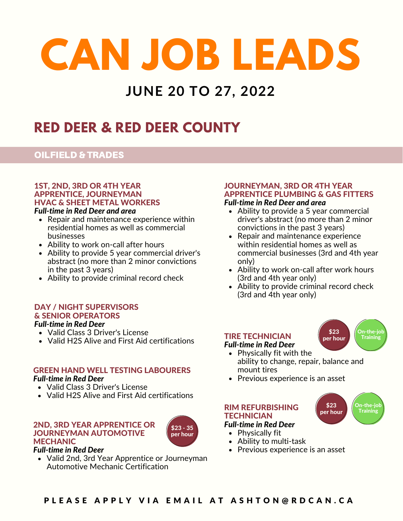## **JUNE 20 TO 27, 2022**

## **RED DEER & RED DEER COUNTY**

#### OILFIELD & TRADES

#### 1ST, 2ND, 3RD OR 4TH YEAR APPRENTICE, JOURNEYMAN HVAC & SHEET METAL WORKERS

- Repair and maintenance experience within residential homes as well as commercial businesses
- Ability to work on-call after hours
- Ability to provide 5 year commercial driver's abstract (no more than 2 minor convictions in the past 3 years)
- Ability to provide criminal record check

#### DAY / NIGHT SUPERVISORS & SENIOR OPERATORS *Full-time in Red Deer*

#### Valid Class 3 Driver's License

- 
- Valid H2S Alive and First Aid certifications

#### GREEN HAND WELL TESTING LABOURERS *Full-time in Red Deer*

- Valid Class 3 Driver's License
- Valid H2S Alive and First Aid certifications

#### 2ND, 3RD YEAR APPRENTICE OR JOURNEYMAN AUTOMOTIVE MECHANIC



#### *Full-time in Red Deer*

Valid 2nd, 3rd Year Apprentice or Journeyman Automotive Mechanic Certification

#### JOURNEYMAN, 3RD OR 4TH YEAR APPRENTICE PLUMBING & GAS FITTERS *Full-time in Red Deer and area*

- **Ability to provide a 5 year commercial** driver's abstract (no more than 2 minor convictions in the past 3 years)
- Repair and maintenance experience within residential homes as well as commercial businesses (3rd and 4th year only)
- Ability to work on-call after work hours (3rd and 4th year only)
- Ability to provide criminal record check (3rd and 4th year only)

\$23 per hour

\$23 per hour On-the-job Training

On-the-job **Training** 

#### TIRE TECHNICIAN

#### *Full-time in Red Deer*

- Physically fit with the ability to change, repair, balance and mount tires
- Previous experience is an asset

#### RIM REFURBISHING **TECHNICIAN**

#### *Full-time in Red Deer*

- Physically fit
- Ability to multi-task
- Previous experience is an asset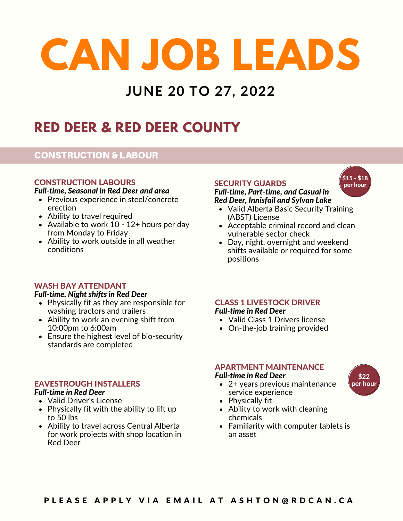## **JUNE 20 TO 27, 2022**

## **RED DEER & RED DEER COUNTY**

#### CONSTRUCTION & LABOUR

#### CONSTRUCTION LABOURS

#### *Full-time, Seasonal in Red Deer and area*

- Previous experience in steel/concrete erection
- Ability to travel required
- Available to work 10 12+ hours per day from Monday to Friday
- Ability to work outside in all weather conditions

#### WASH BAY ATTENDANT

#### *Full-time, Night shifts in Red Deer*

- Physically fit as they are responsible for washing tractors and trailers
- Ability to work an evening shift from 10:00pm to 6:00am
- Ensure the highest level of bio-security standards are completed

#### EAVESTROUGH INSTALLERS

#### *Full-time in Red Deer*

- Valid Driver's License
- Physically fit with the ability to lift up to 50 lbs
- Ability to travel across Central Alberta for work projects with shop location in Red Deer

#### SECURITY GUARDS

#### *Full-time, Part-time, and Casual in Red Deer, Innisfail and Sylvan Lake*

- Valid Alberta Basic Security Training (ABST) License
- Acceptable criminal record and clean vulnerable sector check
- Day, night, overnight and weekend shifts available or required for some positions

#### CLASS 1 LIVESTOCK DRIVER *Full-time in Red Deer*

- Valid Class 1 Drivers license
- On-the-job training provided

#### APARTMENT MAINTENANCE

#### *Full-time in Red Deer* \$22

- 2+ years previous maintenance service experience
- Physically fit
- Ability to work with cleaning chemicals
- Familiarity with computer tablets is an asset

per hour

\$15 - \$18 per hour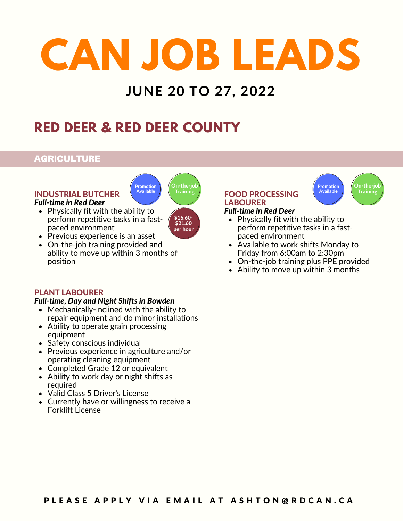## **JUNE 20 TO 27, 2022**

## **RED DEER & RED DEER COUNTY**

Promotion Available

#### AGRICULTURE

#### INDUSTRIAL BUTCHER *Full-time in Red Deer*

• Physically fit with the ability to perform repetitive tasks in a fastpaced environment



On-the-jo

- Previous experience is an asset
- On-the-job training provided and ability to move up within 3 months of position

#### PLANT LABOURER

#### *Full-time, Day and Night Shifts in Bowden*

- Mechanically-inclined with the ability to repair equipment and do minor installations
- Ability to operate grain processing equipment
- Safety conscious individual
- Previous experience in agriculture and/or operating cleaning equipment
- Completed Grade 12 or equivalent
- Ability to work day or night shifts as required
- Valid Class 5 Driver's License
- Currently have or willingness to receive a Forklift License

#### FOOD PROCESSING **LABOURER** *Full-time in Red Deer*



- Physically fit with the ability to perform repetitive tasks in a fastpaced environment
- Available to work shifts Monday to Friday from 6:00am to 2:30pm
- On-the-job training plus PPE provided
- Ability to move up within 3 months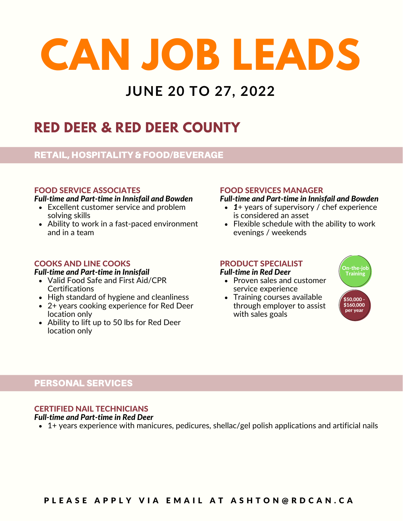## **JUNE 20 TO 27, 2022**

## **RED DEER & RED DEER COUNTY**

#### RETAIL, HOSPITALITY & FOOD/BEVERAGE

#### FOOD SERVICE ASSOCIATES

#### *Full-time and Part-time in Innisfail and Bowden*

- Excellent customer service and problem solving skills
- Ability to work in a fast-paced environment and in a team

#### COOKS AND LINE COOKS

#### *Full-time and Part-time in Innisfail*

- Valid Food Safe and First Aid/CPR **Certifications**
- High standard of hygiene and cleanliness
- 2+ years cooking experience for Red Deer location only
- Ability to lift up to 50 lbs for Red Deer location only

#### FOOD SERVICES MANAGER

#### *Full-time and Part-time in Innisfail and Bowden*

- *1*+ years of supervisory / chef experience is considered an asset
- Flexible schedule with the ability to work evenings / weekends

#### PRODUCT SPECIALIST

#### *Full-time in Red Deer*

- Proven sales and customer service experience
- Training courses available through employer to assist with sales goals



#### PERSONAL SERVICES

#### CERTIFIED NAIL TECHNICIANS

#### *Full-time and Part-time in Red Deer*

1+ years experience with manicures, pedicures, shellac/gel polish applications and artificial nails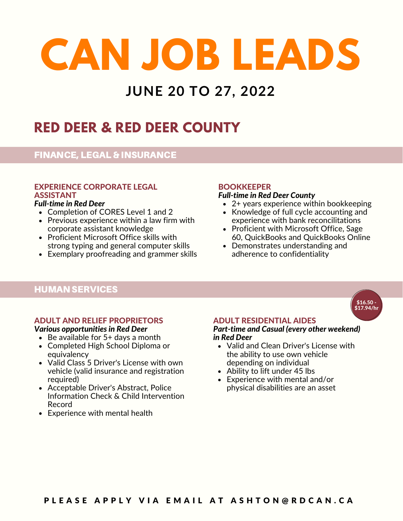## **JUNE 20 TO 27, 2022**

## **RED DEER & RED DEER COUNTY**

#### FINANCE, LEGAL & INSURANCE

### EXPERIENCE CORPORATE LEGAL ASSISTANT<br>Full-time in Red Deer

- Completion of CORES Level 1 and 2
- Previous experience within a law firm with corporate assistant knowledge
- Proficient Microsoft Office skills with strong typing and general computer skills
- Exemplary proofreading and grammer skills

#### **BOOKKEEPER**

#### *Full-time in Red Deer County*

- 2+ years experience within bookkeeping
- Knowledge of full cycle accounting and experience with bank reconcilitations
- Proficient with Microsoft Office, Sage 60, QuickBooks and QuickBooks Online
- Demonstrates understanding and adherence to confidentiality

#### HUMAN SERVICES

#### ADULT AND RELIEF PROPRIETORS

#### *Various opportunities in Red Deer*

- $\bullet$  Be available for  $5+$  days a month
- Completed High School Diploma or equivalency
- Valid Class 5 Driver's License with own vehicle (valid insurance and registration required)
- Acceptable Driver's Abstract, Police Information Check & Child Intervention Record
- Experience with mental health

#### ADULT RESIDENTIAL AIDES

#### *Part-time and Casual (every other weekend) in Red Deer*

- Valid and Clean Driver's License with the ability to use own vehicle depending on individual
- Ability to lift under 45 lbs
- Experience with mental and/or physical disabilities are an asset

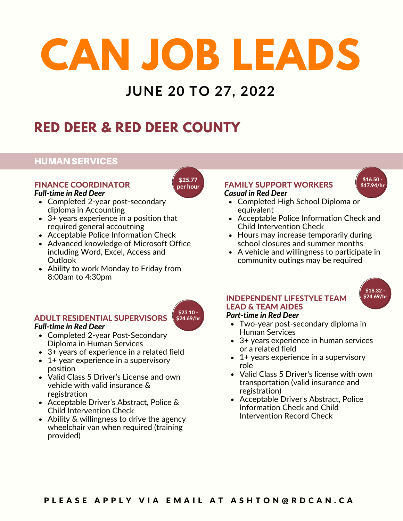## **JUNE 20 TO 27, 2022**

\$25.77 per hour

## **RED DEER & RED DEER COUNTY**

#### HUMAN SERVICES

#### FINANCE COORDINATOR *Full-time in Red Deer*

- Completed 2-year post-secondary diploma in Accounting
- 3+ years experience in a position that required general accoutning
- Acceptable Police Information Check
- Advanced knowledge of Microsoft Office including Word, Excel, Access and **Outlook**
- Ability to work Monday to Friday from 8:00am to 4:30pm

#### ADULT RESIDENTIAL SUPERVISORS

#### *Full-time in Red Deer*

- Completed 2-year Post-Secondary Diploma in Human Services
- 3+ years of experience in a related field
- 1+ year experience in a supervisory position
- Valid Class 5 Driver's License and own vehicle with valid insurance & registration
- Acceptable Driver's Abstract, Police & Child Intervention Check
- Ability & willingness to drive the agency wheelchair van when required (training provided)

#### FAMILY SUPPORT WORKERS *Casual in Red Deer*



- Completed High School Diploma or equivalent
- Acceptable Police Information Check and Child Intervention Check
- Hours may increase temporarily during school closures and summer months
- A vehicle and willingness to participate in community outings may be required



#### INDEPENDENT LIFESTYLE TEAM LEAD & TEAM AIDES

#### *Part-time in Red Deer*

- Two-year post-secondary diploma in Human Services
- 3+ years experience in human services or a related field
- $\bullet$  1+ years experience in a supervisory role
- Valid Class 5 Driver's license with own transportation (valid insurance and registration)
- Acceptable Driver's Abstract, Police Information Check and Child Intervention Record Check

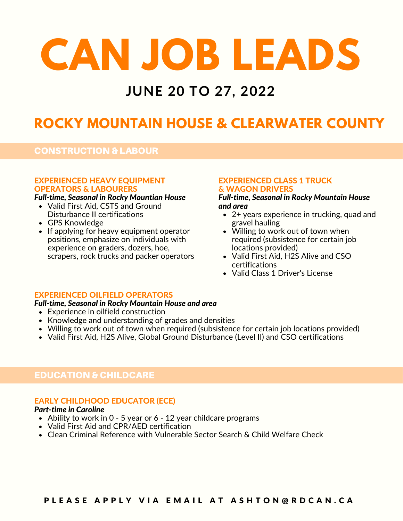### **JUNE 20 TO 27, 2022**

## **ROCKY MOUNTAIN HOUSE & CLEARWATER COUNTY**

#### CONSTRUCTION & LABOUR

#### EXPERIENCED HEAVY EQUIPMENT OPERATORS & LABOURERS

#### *Full-time, Seasonal in Rocky Mountian House*

- Valid First Aid, CSTS and Ground *and area* Disturbance II certifications
- GPS Knowledge
- If applying for heavy equipment operator positions, emphasize on individuals with experience on graders, dozers, hoe, scrapers, rock trucks and packer operators

#### EXPERIENCED CLASS 1 TRUCK & WAGON DRIVERS

## *Full-time, Seasonal in Rocky Mountain House*

- 2+ years experience in trucking, quad and gravel hauling
- Willing to work out of town when required (subsistence for certain job locations provided)
- Valid First Aid, H2S Alive and CSO certifications
- Valid Class 1 Driver's License

#### EXPERIENCED OILFIELD OPERATORS

#### *Full-time, Seasonal in Rocky Mountain House and area*

- Experience in oilfield construction
- Knowledge and understanding of grades and densities
- Willing to work out of town when required (subsistence for certain job locations provided)
- Valid First Aid, H2S Alive, Global Ground Disturbance (Level II) and CSO certifications

#### EDUCATION & CHILDCARE

#### EARLY CHILDHOOD EDUCATOR (ECE)

#### *Part-time in Caroline*

- Ability to work in 0 5 year or 6 12 year childcare programs
- Valid First Aid and CPR/AED certification
- Clean Criminal Reference with Vulnerable Sector Search & Child Welfare Check

#### PLEASE APPLY VIA EMAIL AT ASHTON@RDCAN.CA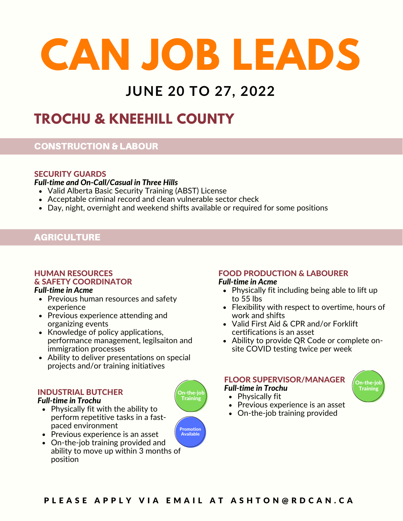## **JUNE 20 TO 27, 2022**

## **TROCHU & KNEEHILL COUNTY**

#### CONSTRUCTION & LABOUR

#### SECURITY GUARDS

*Full-time and On-Call/Casual in Three Hills*

- Valid Alberta Basic Security Training (ABST) License
- Acceptable criminal record and clean vulnerable sector check
- Day, night, overnight and weekend shifts available or required for some positions

#### **AGRICULTURE**

#### HUMAN RESOURCES & SAFETY COORDINATOR

- Previous human resources and safety experience
- Previous experience attending and organizing events
- Knowledge of policy applications, performance management, legilsaiton and immigration processes
- Ability to deliver presentations on special projects and/or training initiatives

#### INDUSTRIAL BUTCHER

#### *Full-time in Trochu*

- Physically fit with the ability to perform repetitive tasks in a fastpaced environment
- Previous experience is an asset
- On-the-job training provided and ability to move up within 3 months of position

## FOOD PRODUCTION & LABOURER

- **Full-time in Acme Example 2 and** *Full-time* in Acme **Physically fit including being able to lift up** to 55 lbs
	- Flexibility with respect to overtime, hours of work and shifts
	- Valid First Aid & CPR and/or Forklift certifications is an asset
	- Ability to provide QR Code or complete onsite COVID testing twice per week

#### FLOOR SUPERVISOR/MANAGER

*Full-time in Trochu*

- $\bullet$  Physically fit
- Previous experience is an asset
- On-the-job training provided







On-the<mark>-jol</mark><br>Training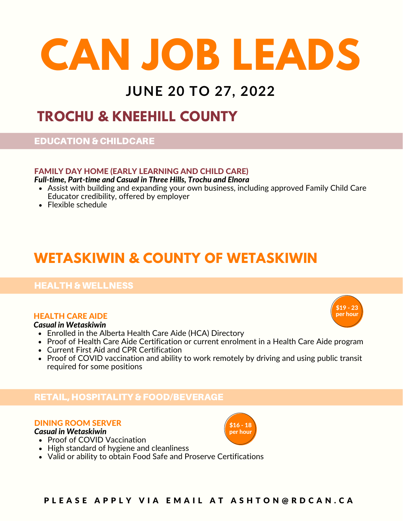### **JUNE 20 TO 27, 2022**

### **TROCHU & KNEEHILL COUNTY**

#### EDUCATION & CHILDCARE

#### FAMILY DAY HOME (EARLY LEARNING AND CHILD CARE)

*Full-time, Part-time and Casual in Three Hills, Trochu and Elnora*

- Assist with building and expanding your own business, including approved Family Child Care Educator credibility, offered by employer
- Flexible schedule

## **WETASKIWIN & COUNTY OF WETASKIWIN**

#### HEALTH & WELLNESS

#### HEALTH CARE AIDE

#### *Casual in Wetaskiwin*

- Enrolled in the Alberta Health Care Aide (HCA) Directory
- Proof of Health Care Aide Certification or current enrolment in a Health Care Aide program
- Current First Aid and CPR Certification
- Proof of COVID vaccination and ability to work remotely by driving and using public transit required for some positions

#### RETAIL, HOSPITALITY & FOOD/BEVERAGE

#### DINING ROOM SERVER

*Casual in Wetaskiwin*

• Proof of COVID Vaccination



\$19 - 23 per hour

- High standard of hygiene and cleanliness
- Valid or ability to obtain Food Safe and Proserve Certifications

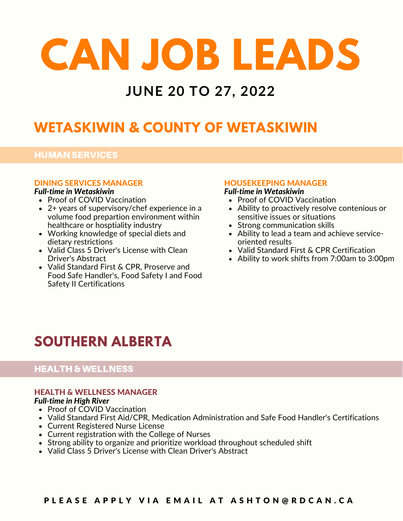### **JUNE 20 TO 27, 2022**

## **WETASKIWIN & COUNTY OF WETASKIWIN**

#### HUMAN SERVICES

#### DINING SERVICES MANAGER

#### *Full-time in Wetaskiwin*

- Proof of COVID Vaccination
- 2+ years of supervisory/chef experience in a volume food prepartion environment within healthcare or hosptiality industry
- Working knowledge of special diets and dietary restrictions
- Valid Class 5 Driver's License with Clean Driver's Abstract
- Valid Standard First & CPR, Proserve and Food Safe Handler's, Food Safety I and Food Safety II Certifications

#### HOUSEKEEPING MANAGER

#### *Full-time in Wetaskiwin*

- Proof of COVID Vaccination
- Ability to proactively resolve contenious or sensitive issues or situations
- Strong communication skills
- Ability to lead a team and achieve serviceoriented results
- Valid Standard First & CPR Certification
- Ability to work shifts from 7:00am to 3:00pm

## **SOUTHERN ALBERTA**

#### HEALTH & WELLNESS

#### HEALTH & WELLNESS MANAGER

#### *Full-time in High River*

- Proof of COVID Vaccination
- Valid Standard First Aid/CPR, Medication Administration and Safe Food Handler's Certifications
- Current Registered Nurse License
- Current registration with the College of Nurses
- Strong ability to organize and prioritize workload throughout scheduled shift
- Valid Class 5 Driver's License with Clean Driver's Abstract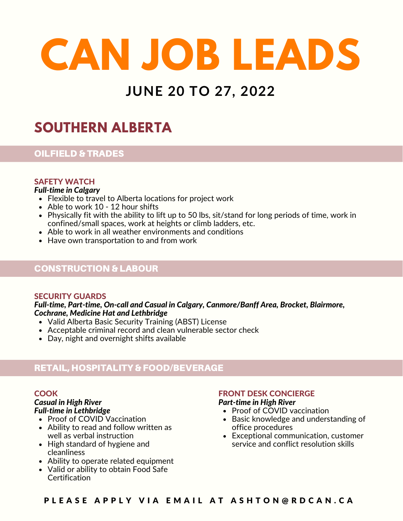## **JUNE 20 TO 27, 2022**

## **SOUTHERN ALBERTA**

#### OILFIELD & TRADES

#### SAFETY WATCH

#### *Full-time in Calgary*

- Flexible to travel to Alberta locations for project work
- Able to work 10 12 hour shifts
- Physically fit with the ability to lift up to 50 lbs, sit/stand for long periods of time, work in confined/small spaces, work at heights or climb ladders, etc.
- Able to work in all weather environments and conditions
- Have own transportation to and from work

#### CONSTRUCTION & LABOUR

#### SECURITY GUARDS

*Full-time, Part-time, On-call and Casual in Calgary, Canmore/Banff Area, Brocket, Blairmore, Cochrane, Medicine Hat and Lethbridge*

- Valid Alberta Basic Security Training (ABST) License
- Acceptable criminal record and clean vulnerable sector check
- Day, night and overnight shifts available

#### RETAIL, HOSPITALITY & FOOD/BEVERAGE

#### **COOK**

### *Casual in High River*

- Proof of COVID Vaccination
- Ability to read and follow written as well as verbal instruction
- High standard of hygiene and cleanliness
- Ability to operate related equipment
- Valid or ability to obtain Food Safe **Certification**

#### FRONT DESK CONCIERGE *Part-time in High River*

- *Full-time in Lethbridge* Proof of COVID vaccination
	- Basic knowledge and understanding of office procedures
	- Exceptional communication, customer service and conflict resolution skills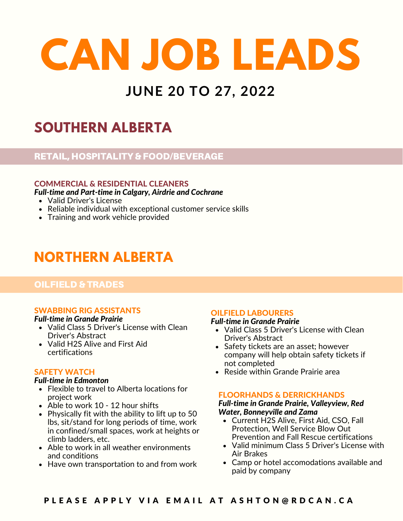## **JUNE 20 TO 27, 2022**

## **SOUTHERN ALBERTA**

#### RETAIL, HOSPITALITY & FOOD/BEVERAGE

#### COMMERCIAL & RESIDENTIAL CLEANERS

*Full-time and Part-time in Calgary, Airdrie and Cochrane*

- Valid Driver's License
- Reliable individual with exceptional customer service skills
- Training and work vehicle provided

## **NORTHERN ALBERTA**

#### OILFIELD & TRADES

#### SWABBING RIG ASSISTANTS

#### *Full-time in Grande Prairie*

- Valid Class 5 Driver's License with Clean Driver's Abstract
- Valid H2S Alive and First Aid certifications

#### SAFETY WATCH

#### *Full-time in Edmonton*

- Flexible to travel to Alberta locations for project work
- Able to work 10 12 hour shifts
- Physically fit with the ability to lift up to 50 lbs, sit/stand for long periods of time, work in confined/small spaces, work at heights or climb ladders, etc.
- Able to work in all weather environments and conditions
- Have own transportation to and from work

#### OILFIELD LABOURERS

#### *Full-time in Grande Prairie*

- Valid Class 5 Driver's License with Clean Driver's Abstract
- Safety tickets are an asset; however company will help obtain safety tickets if not completed
- Reside within Grande Prairie area

#### FLOORHANDS & DERRICKHANDS

#### *Full-time in Grande Prairie, Valleyview, Red Water, Bonneyville and Zama*

- Current H2S Alive, First Aid, CSO, Fall Protection, Well Service Blow Out Prevention and Fall Rescue certifications
- Valid minimum Class 5 Driver's License with Air Brakes
- Camp or hotel accomodations available and paid by company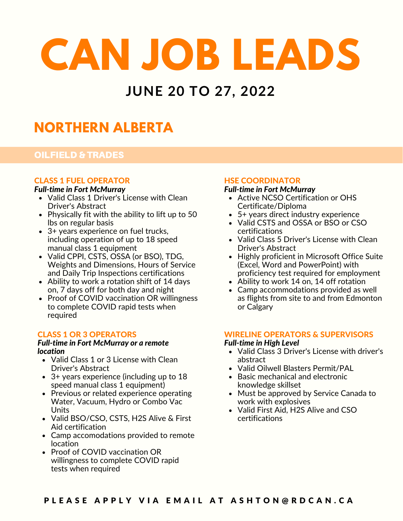### **JUNE 20 TO 27, 2022**

## **NORTHERN ALBERTA**

#### OILFIELD & TRADES

#### CLASS 1 FUEL OPERATOR

#### *Full-time in Fort McMurray*

- Valid Class 1 Driver's License with Clean Driver's Abstract
- Physically fit with the ability to lift up to 50 lbs on regular basis
- 3+ years experience on fuel trucks, including operation of up to 18 speed manual class 1 equipment
- Valid CPPI, CSTS, OSSA (or BSO), TDG, Weights and Dimensions, Hours of Service and Daily Trip Inspections certifications
- Ability to work a rotation shift of 14 days on, 7 days off for both day and night
- Proof of COVID vaccination OR willingness to complete COVID rapid tests when required

#### CLASS 1 OR 3 OPERATORS

### *Full-time in Fort McMurray or a remote*

- Valid Class 1 or 3 License with Clean Driver's Abstract
- 3+ years experience (including up to 18 speed manual class 1 equipment)
- Previous or related experience operating Water, Vacuum, Hydro or Combo Vac Units
- Valid BSO/CSO, CSTS, H2S Alive & First Aid certification
- Camp accomodations provided to remote location
- Proof of COVID vaccination OR willingness to complete COVID rapid tests when required

#### HSE COORDINATOR

#### *Full-time in Fort McMurray*

- Active NCSO Certification or OHS Certificate/Diploma
- 5+ years direct industry experience
- Valid CSTS and OSSA or BSO or CSO certifications
- Valid Class 5 Driver's License with Clean Driver's Abstract
- Highly proficient in Microsoft Office Suite (Excel, Word and PowerPoint) with proficiency test required for employment
- Ability to work 14 on, 14 off rotation
- Camp accommodations provided as well as flights from site to and from Edmonton or Calgary

#### WIRELINE OPERATORS & SUPERVISORS

#### *Full-time in High Level*

- **location v** Valid Class 3 Driver's License with driver's abstract
	- Valid Oilwell Blasters Permit/PAL
	- Basic mechanical and electronic knowledge skillset
	- Must be approved by Service Canada to work with explosives
	- Valid First Aid, H2S Alive and CSO certifications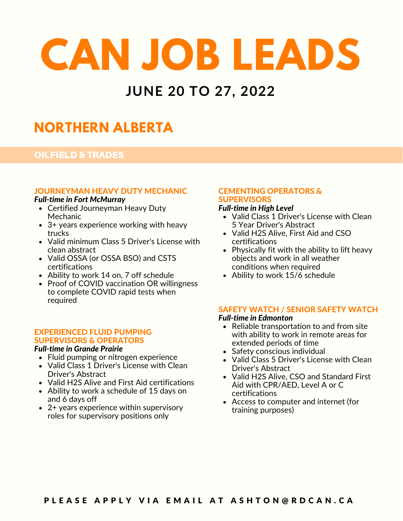### **JUNE 20 TO 27, 2022**

## **NORTHERN ALBERTA**

#### OILFIELD & TRADES

#### JOURNEYMAN HEAVY DUTY MECHANIC

#### *Full-time in Fort McMurray*

- **Certified Journeyman Heavy Duty** Mechanic
- 3+ years experience working with heavy trucks
- Valid minimum Class 5 Driver's License with clean abstract
- Valid OSSA (or OSSA BSO) and CSTS certifications
- Ability to work 14 on, 7 off schedule
- Proof of COVID vaccination OR willingness to complete COVID rapid tests when required

#### EXPERIENCED FLUID PUMPING SUPERVISORS & OPERATORS

#### *Full-time in Grande Prairie*

- Fluid pumping or nitrogen experience
- Valid Class 1 Driver's License with Clean Driver's Abstract
- Valid H2S Alive and First Aid certifications
- Ability to work a schedule of 15 days on and 6 days off
- 2+ years experience within supervisory roles for supervisory positions only

### CEMENTING OPERATORS & **SUPERVISORS**<br>Full-time in High Level

- Valid Class 1 Driver's License with Clean 5 Year Driver's Abstract
- Valid H2S Alive, First Aid and CSO certifications
- Physically fit with the ability to lift heavy objects and work in all weather conditions when required
- Ability to work 15/6 schedule

#### SAFETY WATCH / SENIOR SAFETY WATCH

#### *Full-time in Edmonton*

- Reliable transportation to and from site with ability to work in remote areas for extended periods of time
- Safety conscious individual
- Valid Class 5 Driver's License with Clean Driver's Abstract
- Valid H2S Alive, CSO and Standard First Aid with CPR/AED, Level A or C certifications
- Access to computer and internet (for training purposes)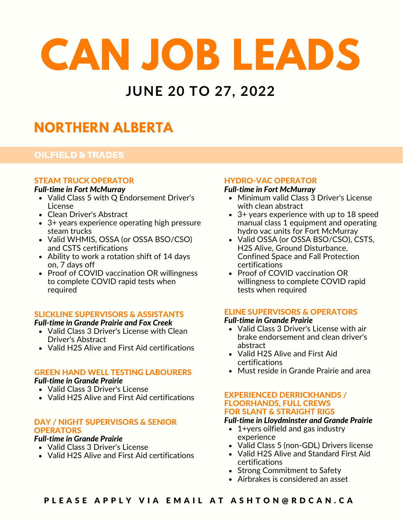### **JUNE 20 TO 27, 2022**

## **NORTHERN ALBERTA**

#### OILFIELD & TRADES

#### STEAM TRUCK OPERATOR

#### *Full-time in Fort McMurray*

- Valid Class 5 with Q Endorsement Driver's License
- Clean Driver's Abstract
- 3+ years experience operating high pressure steam trucks
- Valid WHMIS, OSSA (or OSSA BSO/CSO) and CSTS certifications
- Ability to work a rotation shift of 14 days on, 7 days off
- Proof of COVID vaccination OR willingness to complete COVID rapid tests when required

#### SLICKLINE SUPERVISORS & ASSISTANTS

#### *Full-time in Grande Prairie and Fox Creek*

- Valid Class 3 Driver's License with Clean Driver's Abstract
- Valid H2S Alive and First Aid certifications

#### GREEN HAND WELL TESTING LABOURERS

#### *Full-time in Grande Prairie*

- Valid Class 3 Driver's License
- Valid H2S Alive and First Aid certifications

#### DAY / NIGHT SUPERVISORS & SENIOR **OPERATORS**

#### *Full-time in Grande Prairie*

- Valid Class 3 Driver's License
- Valid H2S Alive and First Aid certifications

#### HYDRO-VAC OPERATOR

#### *Full-time in Fort McMurray*

- Minimum valid Class 3 Driver's License with clean abstract
- 3+ years experience with up to 18 speed manual class 1 equipment and operating hydro vac units for Fort McMurray
- Valid OSSA (or OSSA BSO/CSO), CSTS, H2S Alive, Ground Disturbance, Confined Space and Fall Protection certifications
- Proof of COVID vaccination OR willingness to complete COVID rapid tests when required

#### ELINE SUPERVISORS & OPERATORS

#### *Full-time in Grande Prairie*

- Valid Class 3 Driver's License with air brake endorsement and clean driver's abstract
- Valid H2S Alive and First Aid certifications
- Must reside in Grande Prairie and area

#### EXPERIENCED DERRICKHANDS / FLOORHANDS, FULL CREWS FOR SLANT & STRAIGHT RIGS

#### *Full-time in Lloydminster and Grande Prairie*

- 1+yers oilfield and gas industry experience
- Valid Class 5 (non-GDL) Drivers license
- Valid H2S Alive and Standard First Aid certifications
- Strong Commitment to Safety
- Airbrakes is considered an asset

#### PLEASE APPLY VIA EMAIL AT ASHTON@RDCAN.CA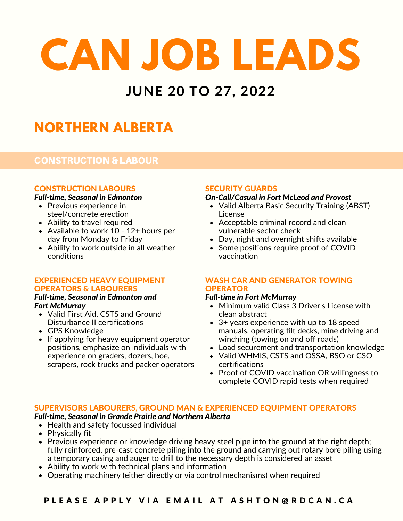### **JUNE 20 TO 27, 2022**

## **NORTHERN ALBERTA**

#### CONSTRUCTION & LABOUR

#### CONSTRUCTION LABOURS

#### *Full-time, Seasonal in Edmonton*

- Previous experience in steel/concrete erection
- Ability to travel required
- Available to work 10 12+ hours per day from Monday to Friday
- Ability to work outside in all weather conditions

#### EXPERIENCED HEAVY EQUIPMENT OPERATORS & LABOURERS

## *Full-time, Seasonal in Edmonton and*

- Valid First Aid, CSTS and Ground Disturbance II certifications
- GPS Knowledge
- If applying for heavy equipment operator positions, emphasize on individuals with experience on graders, dozers, hoe, scrapers, rock trucks and packer operators

#### SECURITY GUARDS

#### *On-Call/Casual in Fort McLeod and Provost*

- Valid Alberta Basic Security Training (ABST) License
- Acceptable criminal record and clean vulnerable sector check
- Day, night and overnight shifts available
- Some positions require proof of COVID vaccination

#### WASH CAR AND GENERATOR TOWING **OPERATOR**

#### *Full-time in Fort McMurray*

- Minimum valid Class 3 Driver's License with clean abstract
- 3+ years experience with up to 18 speed manuals, operating tilt decks, mine driving and winching (towing on and off roads)
- Load securement and transportation knowledge
- Valid WHMIS, CSTS and OSSA, BSO or CSO certifications
- Proof of COVID vaccination OR willingness to complete COVID rapid tests when required

#### SUPERVISORS LABOURERS, GROUND MAN & EXPERIENCED EQUIPMENT OPERATORS

#### *Full-time, Seasonal in Grande Prairie and Northern Alberta*

- Health and safety focussed individual
- Physically fit
- Previous experience or knowledge driving heavy steel pipe into the ground at the right depth; fully reinforced, pre-cast concrete piling into the ground and carrying out rotary bore piling using a temporary casing and auger to drill to the necessary depth is considered an asset
- Ability to work with technical plans and information
- Operating machinery (either directly or via control mechanisms) when required

#### PLEASE APPLY VIA EMAIL AT ASHTON@RDCAN.CA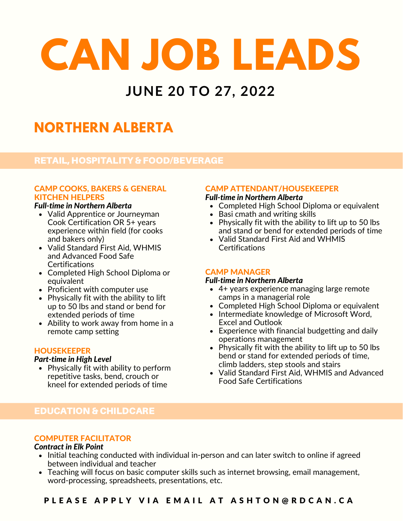## **JUNE 20 TO 27, 2022**

## **NORTHERN ALBERTA**

#### RETAIL, HOSPITALITY & FOOD/BEVERAGE

#### CAMP COOKS, BAKERS & GENERAL KITCHEN HELPERS

#### *Full-time in Northern Alberta*

- Valid Apprentice or Journeyman Cook Certification OR 5+ years experience within field (for cooks and bakers only)
- Valid Standard First Aid, WHMIS and Advanced Food Safe **Certifications**
- Completed High School Diploma or equivalent
- Proficient with computer use
- Physically fit with the ability to lift up to 50 lbs and stand or bend for extended periods of time
- Ability to work away from home in a remote camp setting

#### **HOUSEKEEPER**

#### *Part-time in High Level*

• Physically fit with ability to perform repetitive tasks, bend, crouch or kneel for extended periods of time

#### CAMP ATTENDANT/HOUSEKEEPER

#### *Full-time in Northern Alberta*

- Completed High School Diploma or equivalent
- Basi cmath and writing skills
- Physically fit with the ability to lift up to 50 lbs and stand or bend for extended periods of time
- Valid Standard First Aid and WHMIS **Certifications**

#### CAMP MANAGER

#### *Full-time in Northern Alberta*

- 4+ years experience managing large remote camps in a managerial role
- Completed High School Diploma or equivalent
- Intermediate knowledge of Microsoft Word, Excel and Outlook
- Experience with financial budgetting and daily operations management
- Physically fit with the ability to lift up to 50 lbs bend or stand for extended periods of time, climb ladders, step stools and stairs
- Valid Standard First Aid, WHMIS and Advanced Food Safe Certifications

#### EDUCATION & CHILDCARE

#### COMPUTER FACILITATOR

#### *Contract in Elk Point*

- Initial teaching conducted with individual in-person and can later switch to online if agreed between individual and teacher
- Teaching will focus on basic computer skills such as internet browsing, email management, word-processing, spreadsheets, presentations, etc.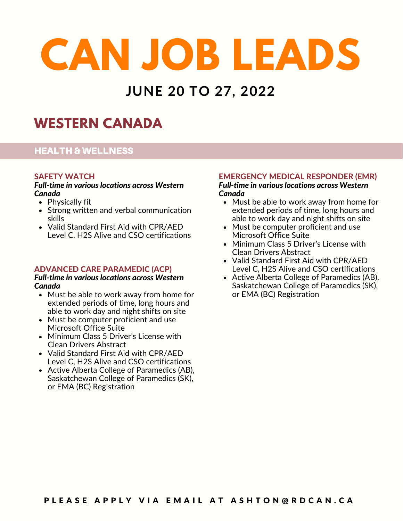### **JUNE 20 TO 27, 2022**

### **WESTERN CANADA**

#### HEALTH & WELLNESS

#### SAFETY WATCH

#### *Full-time in various locations across Western Canada*

- Physically fit
- Strong written and verbal communication skills
- Valid Standard First Aid with CPR/AED Level C, H2S Alive and CSO certifications

#### ADVANCED CARE PARAMEDIC (ACP)

#### *Full-time in various locations across Western Canada*

- Must be able to work away from home for extended periods of time, long hours and able to work day and night shifts on site
- Must be computer proficient and use Microsoft Office Suite
- Minimum Class 5 Driver's License with Clean Drivers Abstract
- Valid Standard First Aid with CPR/AED Level C, H2S Alive and CSO certifications
- Active Alberta College of Paramedics (AB), Saskatchewan College of Paramedics (SK), or EMA (BC) Registration

#### EMERGENCY MEDICAL RESPONDER (EMR)

*Full-time in various locations across Western Canada*

- Must be able to work away from home for extended periods of time, long hours and able to work day and night shifts on site
- Must be computer proficient and use Microsoft Office Suite
- Minimum Class 5 Driver's License with Clean Drivers Abstract
- Valid Standard First Aid with CPR/AED Level C, H2S Alive and CSO certifications
- Active Alberta College of Paramedics (AB), Saskatchewan College of Paramedics (SK), or EMA (BC) Registration